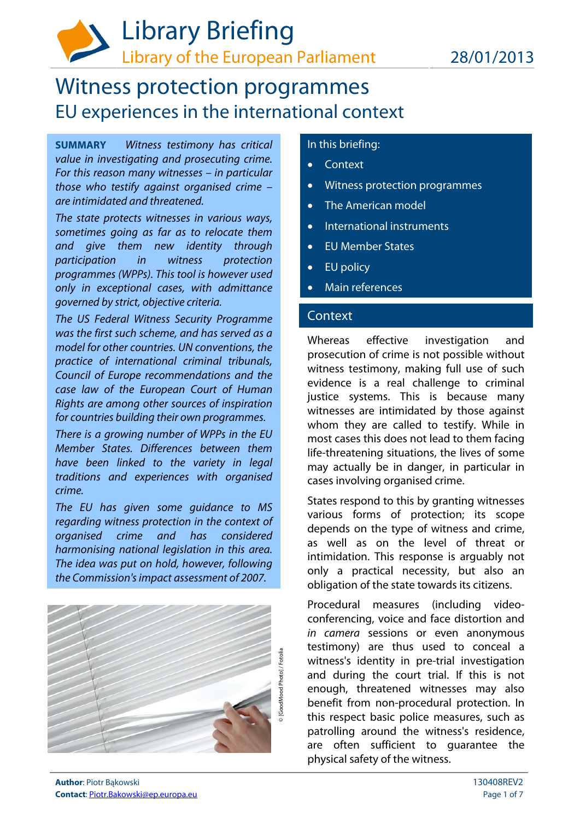# Witness protection programmes EU experiences in the international context

**SUMMARY** Witness testimony has critical value in investigating and prosecuting crime. For this reason many witnesses – in particular those who testify against organised crime – are intimidated and threatened.

The state protects witnesses in various ways, sometimes going as far as to relocate them and give them new identity through participation in witness protection programmes (WPPs). This tool is however used only in exceptional cases, with admittance governed by strict, objective criteria.

The US Federal Witness Security Programme was the first such scheme, and has served as a model for other countries. UN conventions, the practice of international criminal tribunals, Council of Europe recommendations and the case law of the European Court of Human Rights are among other sources of inspiration for countries building their own programmes.

There is a growing number of WPPs in the EU Member States. Differences between them have been linked to the variety in legal traditions and experiences with organised crime.

The EU has given some guidance to MS regarding witness protection in the context of organised crime and has considered harmonising national legislation in this area. The idea was put on hold, however, following the Commission's impact assessment of 2007.



# In this briefing:

- Context
- Witness protection programmes
- The American model
- International instruments
- EU Member States
- EU policy
- Main references

# **Context**

Whereas effective investigation and prosecution of crime is not possible without witness testimony, making full use of such evidence is a real challenge to criminal justice systems. This is because many witnesses are intimidated by those against whom they are called to testify. While in most cases this does not lead to them facing life-threatening situations, the lives of some may actually be in danger, in particular in cases involving organised crime.

States respond to this by granting witnesses various forms of protection; its scope depends on the type of witness and crime, as well as on the level of threat or intimidation. This response is arguably not only a practical necessity, but also an obligation of the state towards its citizens.

Procedural measures (including videoconferencing, voice and face distortion and in camera sessions or even anonymous testimony) are thus used to conceal a witness's identity in pre-trial investigation and during the court trial. If this is not enough, threatened witnesses may also benefit from non-procedural protection. In this respect basic police measures, such as patrolling around the witness's residence, are often sufficient to guarantee the physical safety of the witness.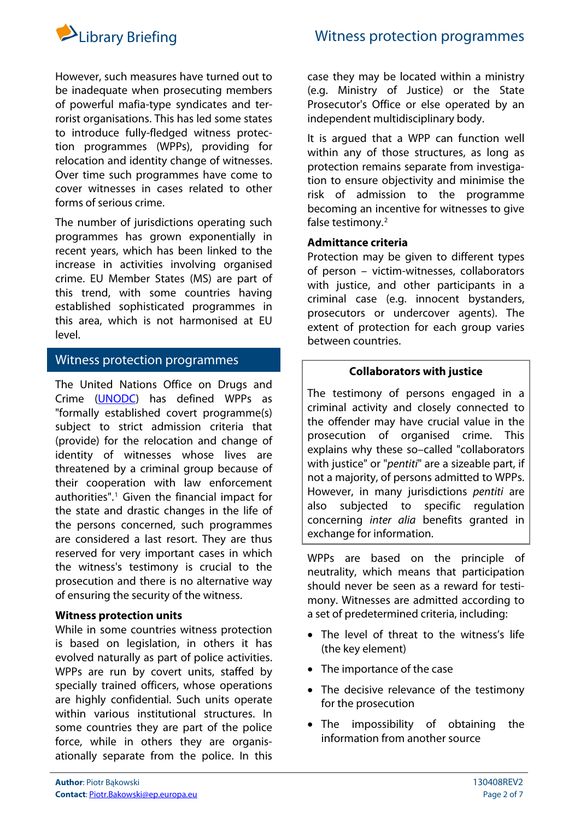

However, such measures have turned out to be inadequate when prosecuting members of powerful mafia-type syndicates and terrorist organisations. This has led some states to introduce fully-fledged witness protection programmes (WPPs), providing for relocation and identity change of witnesses. Over time such programmes have come to cover witnesses in cases related to other forms of serious crime.

The number of jurisdictions operating such programmes has grown exponentially in recent years, which has been linked to the increase in activities involving organised crime. EU Member States (MS) are part of this trend, with some countries having established sophisticated programmes in this area, which is not harmonised at EU level.

# Witness protection programmes

The United Nations Office on Drugs and Crime ([UNODC](http://www.unodc.org/)) has defined WPPs as "formally established covert programme(s) subject to strict admission criteria that (provide) for the relocation and change of identity of witnesses whose lives are threatened by a criminal group because of their cooperation with law enforcement authorities".<sup>[1](#page-3-0)</sup> Given the financial impact for the state and drastic changes in the life of the persons concerned, such programmes are considered a last resort. They are thus reserved for very important cases in which the witness's testimony is crucial to the prosecution and there is no alternative way of ensuring the security of the witness.

# **Witness protection units**

While in some countries witness protection is based on legislation, in others it has evolved naturally as part of police activities. WPPs are run by covert units, staffed by specially trained officers, whose operations are highly confidential. Such units operate within various institutional structures. In some countries they are part of the police force, while in others they are organisationally separate from the police. In this

case they may be located within a ministry (e.g. Ministry of Justice) or the State Prosecutor's Office or else operated by an independent multidisciplinary body.

It is argued that a WPP can function well within any of those structures, as long as protection remains separate from investigation to ensure objectivity and minimise the risk of admission to the programme becoming an incentive for witnesses to give false testimony.<sup>[2](#page-3-1)</sup>

# **Admittance criteria**

Protection may be given to different types of person – victim-witnesses, collaborators with justice, and other participants in a criminal case (e.g. innocent bystanders, prosecutors or undercover agents). The extent of protection for each group varies between countries.

## **Collaborators with justice**

The testimony of persons engaged in a criminal activity and closely connected to the offender may have crucial value in the prosecution of organised crime. This explains why these so–called "collaborators with justice" or "*pentiti*" are a sizeable part, if not a majority, of persons admitted to WPPs. However, in many jurisdictions pentiti are also subjected to specific regulation concerning inter alia benefits granted in exchange for information.

WPPs are based on the principle of neutrality, which means that participation should never be seen as a reward for testimony. Witnesses are admitted according to a set of predetermined criteria, including:

- The level of threat to the witness's life (the key element)
- The importance of the case
- The decisive relevance of the testimony for the prosecution
- The impossibility of obtaining the information from another source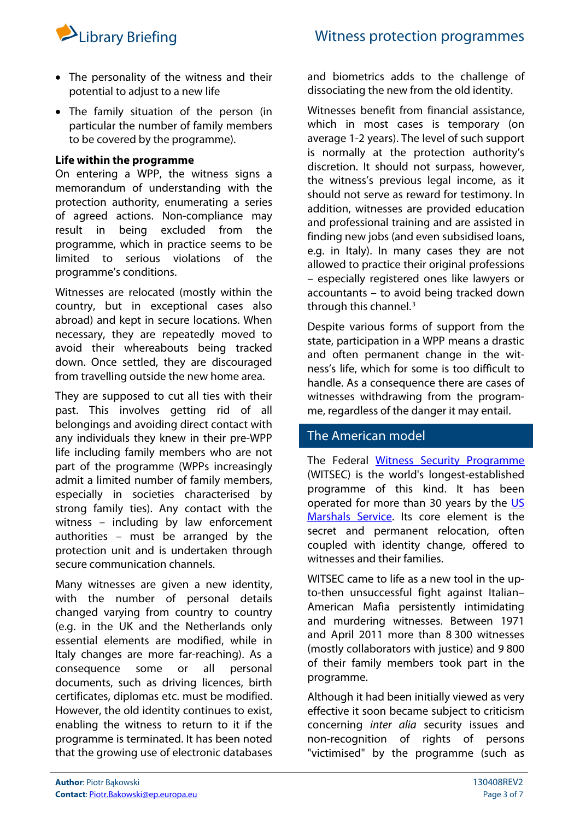- The personality of the witness and their potential to adjust to a new life
- The family situation of the person (in particular the number of family members to be covered by the programme).

# **Life within the programme**

On entering a WPP, the witness signs a memorandum of understanding with the protection authority, enumerating a series of agreed actions. Non-compliance may result in being excluded from the programme, which in practice seems to be limited to serious violations of the programme's conditions.

Witnesses are relocated (mostly within the country, but in exceptional cases also abroad) and kept in secure locations. When necessary, they are repeatedly moved to avoid their whereabouts being tracked down. Once settled, they are discouraged from travelling outside the new home area.

They are supposed to cut all ties with their past. This involves getting rid of all belongings and avoiding direct contact with any individuals they knew in their pre-WPP life including family members who are not part of the programme (WPPs increasingly admit a limited number of family members, especially in societies characterised by strong family ties). Any contact with the witness – including by law enforcement authorities – must be arranged by the protection unit and is undertaken through secure communication channels.

Many witnesses are given a new identity, with the number of personal details changed varying from country to country (e.g. in the UK and the Netherlands only essential elements are modified, while in Italy changes are more far-reaching). As a consequence some or all personal documents, such as driving licences, birth certificates, diplomas etc. must be modified. However, the old identity continues to exist, enabling the witness to return to it if the programme is terminated. It has been noted that the growing use of electronic databases

and biometrics adds to the challenge of dissociating the new from the old identity.

Witnesses benefit from financial assistance, which in most cases is temporary (on average 1-2 years). The level of such support is normally at the protection authority's discretion. It should not surpass, however, the witness's previous legal income, as it should not serve as reward for testimony. In addition, witnesses are provided education and professional training and are assisted in finding new jobs (and even subsidised loans, e.g. in Italy). In many cases they are not allowed to practice their original professions – especially registered ones like lawyers or accountants – to avoid being tracked down through this channel. $3$ 

Despite various forms of support from the state, participation in a WPP means a drastic and often permanent change in the witness's life, which for some is too difficult to handle. As a consequence there are cases of witnesses withdrawing from the programme, regardless of the danger it may entail.

# The American model

The Federal [Witness Security Programme](http://www.usmarshals.gov/duties/factsheets/witsec-2011.html) (WITSEC) is the world's longest-established programme of this kind. It has been operated for more than 30 years by the  $US$ [Marshals Service](http://www.usmarshals.gov/duties/factsheets/general-2011.html). Its core element is the secret and permanent relocation, often coupled with identity change, offered to witnesses and their families.

WITSEC came to life as a new tool in the upto-then unsuccessful fight against Italian– American Mafia persistently intimidating and murdering witnesses. Between 1971 and April 2011 more than 8 300 witnesses (mostly collaborators with justice) and 9 800 of their family members took part in the programme.

Although it had been initially viewed as very effective it soon became subject to criticism concerning inter alia security issues and non-recognition of rights of persons "victimised" by the programme (such as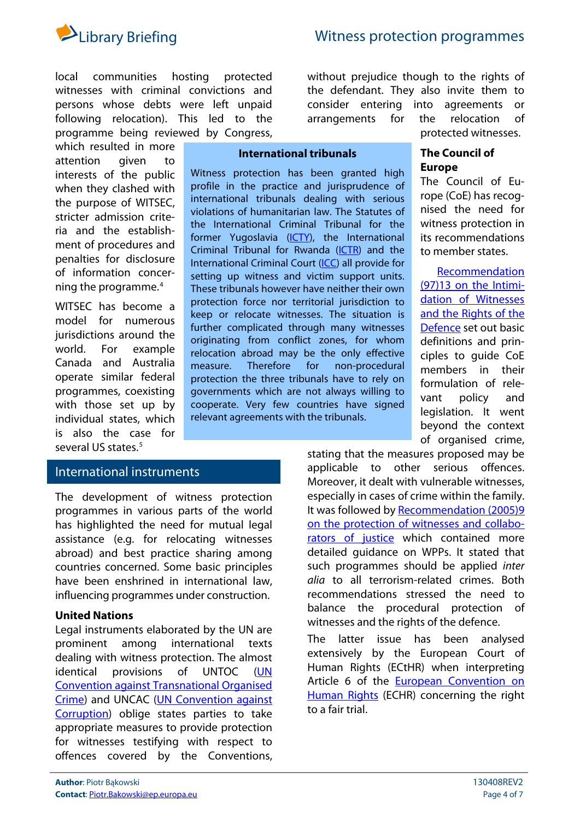

local communities hosting protected witnesses with criminal convictions and persons whose debts were left unpaid following relocation). This led to the programme being reviewed by Congress,

<span id="page-3-4"></span><span id="page-3-3"></span><span id="page-3-2"></span><span id="page-3-1"></span><span id="page-3-0"></span>which resulted in more attention given to interests of the public when they clashed with the purpose of WITSEC, stricter admission criteria and the establishment of procedures and penalties for disclosure of information concerning the programme.[4](#page-3-3)

<span id="page-3-11"></span><span id="page-3-10"></span><span id="page-3-9"></span><span id="page-3-8"></span><span id="page-3-7"></span><span id="page-3-6"></span><span id="page-3-5"></span>WITSEC has become a model for numerous jurisdictions around the world. For example Canada and Australia operate similar federal programmes, coexisting with those set up by individual states, which is also the case for several US states.<sup>[5](#page-3-4)</sup>

without prejudice though to the rights of the defendant. They also invite them to consider entering into agreements or arrangements for the relocation of protected witnesses.

**The Council of** 

The Council of Europe (CoE) has recognised the need for witness protection in its recommendations to member states.

**Europe** 

#### **International tribunals**

Witness protection has been granted high profile in the practice and jurisprudence of international tribunals dealing with serious violations of humanitarian law. The Statutes of the International Criminal Tribunal for the former Yugoslavia [\(ICTY\)](http://www.icty.org/sid/135), the International Criminal Tribunal for Rwanda ([ICTR](http://www.unictr.org/Legal/StatuteoftheTribunal/tabid/94/Default.aspx)) and the International Criminal Court [\(ICC\)](http://untreaty.un.org/cod/icc/STATUTE/99_corr/cstatute.htm) all provide for setting up witness and victim support units. These tribunals however have neither their own protection force nor territorial jurisdiction to keep or relocate witnesses. The situation is further complicated through many witnesses originating from conflict zones, for whom relocation abroad may be the only effective measure. Therefore for non-procedural protection the three tribunals have to rely on governments which are not always willing to cooperate. Very few countries have signed relevant agreements with the tribunals.

# International instruments

The development of witness protection programmes in various parts of the world has highlighted the need for mutual legal assistance (e.g. for relocating witnesses abroad) and best practice sharing among countries concerned. Some basic principles have been enshrined in international law, influencing programmes under construction.

#### **United Nations**

Legal instruments elaborated by the UN are prominent among international texts dealing with witness protection. The almost identical provisions of UNTOC ([UN](http://www.unodc.org/unodc/en/treaties/CTOC/index.html) [Convention against Transnational Organised](http://www.unodc.org/unodc/en/treaties/CTOC/index.html)  [Crime](http://www.unodc.org/unodc/en/treaties/CTOC/index.html)) and UNCAC [\(UN Convention against](http://www.unodc.org/unodc/en/treaties/CAC/)  [Corruption\)](http://www.unodc.org/unodc/en/treaties/CAC/) oblige states parties to take appropriate measures to provide protection for witnesses testifying with respect to offences covered by the Conventions,

[Recommendation](https://wcd.coe.int/com.instranet.InstraServlet?command=com.instranet.CmdBlobGet&InstranetImage=566782&SecMode=1&DocId=574856&Usage=2)  [\(97\)13 on the Intimi](https://wcd.coe.int/com.instranet.InstraServlet?command=com.instranet.CmdBlobGet&InstranetImage=566782&SecMode=1&DocId=574856&Usage=2)[dation of Witnesses](https://wcd.coe.int/com.instranet.InstraServlet?command=com.instranet.CmdBlobGet&InstranetImage=566782&SecMode=1&DocId=574856&Usage=2)  [and the Rights of the](https://wcd.coe.int/com.instranet.InstraServlet?command=com.instranet.CmdBlobGet&InstranetImage=566782&SecMode=1&DocId=574856&Usage=2)  [Defence](https://wcd.coe.int/com.instranet.InstraServlet?command=com.instranet.CmdBlobGet&InstranetImage=566782&SecMode=1&DocId=574856&Usage=2) set out basic definitions and principles to guide CoE members in their formulation of relevant policy and legislation. It went beyond the context of organised crime,

stating that the measures proposed may be applicable to other serious offences. Moreover, it dealt with vulnerable witnesses, especially in cases of crime within the family. It was followed by [Recommendation \(2005\)9](https://wcd.coe.int/ViewDoc.jsp?id=849237&Site=COE)  [on the protection of witnesses and collabo](https://wcd.coe.int/ViewDoc.jsp?id=849237&Site=COE)[rators of justice](https://wcd.coe.int/ViewDoc.jsp?id=849237&Site=COE) which contained more detailed guidance on WPPs. It stated that such programmes should be applied inter alia to all terrorism-related crimes. Both recommendations stressed the need to balance the procedural protection of witnesses and the rights of the defence.

The latter issue has been analysed extensively by the European Court of Human Rights (ECtHR) when interpreting Article 6 of the **European** Convention on [Human Rights](http://www.echr.coe.int/ECHR/EN/Header/Basic+Texts/The+Convention+and+additional+protocols/The+European+Convention+on+Human+Rights/) (ECHR) concerning the right to a fair trial.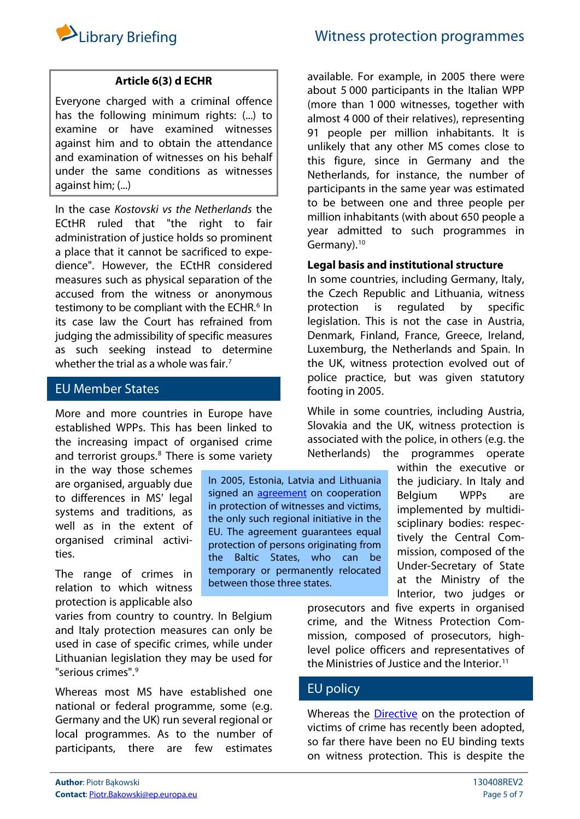

# **Article 6(3) d ECHR**

Everyone charged with a criminal offence has the following minimum rights: (...) to examine or have examined witnesses against him and to obtain the attendance and examination of witnesses on his behalf under the same conditions as witnesses against him; (...)

In the case Kostovski vs the Netherlands the ECtHR ruled that "the right to fair administration of justice holds so prominent a place that it cannot be sacrificed to expedience". However, the ECtHR considered measures such as physical separation of the accused from the witness or anonymous testimony to be compliant with the ECHR.<sup>[6](#page-3-5)</sup> In its case law the Court has refrained from judging the admissibility of specific measures as such seeking instead to determine whether the trial as a whole was fair.<sup>[7](#page-3-6)</sup>

# EU Member States

More and more countries in Europe have established WPPs. This has been linked to the increasing impact of organised crime and terrorist groups.<sup>[8](#page-3-7)</sup> There is some variety

in the way those schemes are organised, arguably due to differences in MS' legal systems and traditions, as well as in the extent of organised criminal activities.

The range of crimes in relation to which witness protection is applicable also

varies from country to country. In Belgium and Italy protection measures can only be used in case of specific crimes, while under Lithuanian legislation they may be used for "serious crimes".[9](#page-3-8)

Whereas most MS have established one national or federal programme, some (e.g. Germany and the UK) run several regional or local programmes. As to the number of participants, there are few estimates

In 2005, Estonia, Latvia and Lithuania signed an **[agreement](http://www.likumi.lv/doc.php?id=8209)** on cooperation in protection of witnesses and victims, the only such regional initiative in the EU. The agreement guarantees equal protection of persons originating from the Baltic States, who can be temporary or permanently relocated between those three states.

available. For example, in 2005 there were about 5 000 participants in the Italian WPP (more than 1 000 witnesses, together with almost 4 000 of their relatives), representing 91 people per million inhabitants. It is unlikely that any other MS comes close to this figure, since in Germany and the Netherlands, for instance, the number of participants in the same year was estimated to be between one and three people per million inhabitants (with about 650 people a year admitted to such programmes in Germany).<sup>[10](#page-3-9)</sup>

#### **Legal basis and institutional structure**

In some countries, including Germany, Italy, the Czech Republic and Lithuania, witness protection is regulated by specific legislation. This is not the case in Austria, Denmark, Finland, France, Greece, Ireland, Luxemburg, the Netherlands and Spain. In the UK, witness protection evolved out of police practice, but was given statutory footing in 2005.

While in some countries, including Austria, Slovakia and the UK, witness protection is associated with the police, in others (e.g. the Netherlands) the programmes operate

> within the executive or the judiciary. In Italy and Belgium WPPs are implemented by multidisciplinary bodies: respectively the Central Commission, composed of the Under-Secretary of State at the Ministry of the Interior, two judges or

prosecutors and five experts in organised crime, and the Witness Protection Commission, composed of prosecutors, highlevel police officers and representatives of the Ministries of Justice and the Interior.<sup>[11](#page-3-10)</sup>

# EU policy

Whereas the **Directive** on the protection of victims of crime has recently been adopted, so far there have been no EU binding texts on witness protection. This is despite the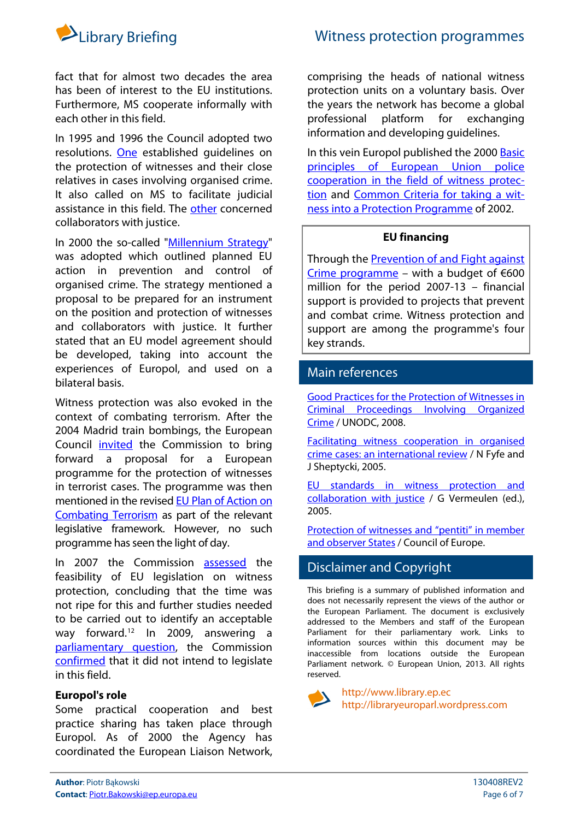

fact that for almost two decades the area has been of interest to the EU institutions. Furthermore, MS cooperate informally with each other in this field.

In 1995 and 1996 the Council adopted two resolutions. [One](http://eur-lex.europa.eu/LexUriServ/LexUriServ.do?uri=CELEX:31995Y1207(04):EN:NOT) established guidelines on the protection of witnesses and their close relatives in cases involving organised crime. It also called on MS to facilitate judicial assistance in this field. The [other](http://eur-lex.europa.eu/LexUriServ/LexUriServ.do?uri=CELEX:31997G0111:EN:NOT) concerned collaborators with justice.

In 2000 the so-called "[Millennium Strategy"](http://eur-lex.europa.eu/LexUriServ/LexUriServ.do?uri=CELEX:32000F0503:EN:NOT) was adopted which outlined planned EU action in prevention and control of organised crime. The strategy mentioned a proposal to be prepared for an instrument on the position and protection of witnesses and collaborators with justice. It further stated that an EU model agreement should be developed, taking into account the experiences of Europol, and used on a bilateral basis.

Witness protection was also evoked in the context of combating terrorism. After the 2004 Madrid train bombings, the European Council [invited](http://www.consilium.europa.eu/uedocs/cmsUpload/DECL-25.3.pdf) the Commission to bring forward a proposal for a European programme for the protection of witnesses in terrorist cases. The programme was then mentioned in the revised [EU Plan of Action on](http://ue.eu.int/uedocs/cmsUpload/EU_PlanOfAction10586.pdf)  [Combating Terrorism](http://ue.eu.int/uedocs/cmsUpload/EU_PlanOfAction10586.pdf) as part of the relevant legislative framework. However, no such programme has seen the light of day.

In 2007 the Commission [assessed](http://eur-lex.europa.eu/LexUriServ/LexUriServ.do?uri=CELEX:52007DC0693:EN:NOT) the feasibility of EU legislation on witness protection, concluding that the time was not ripe for this and further studies needed to be carried out to identify an acceptable way forward.[12](#page-3-11) In 2009, answering a [parliamentary question](http://www.europarl.europa.eu/sides/getDoc.do?type=WQ&reference=E-2009-5092&language=EN), the Commission [confirmed](http://www.europarl.europa.eu/sides/getAllAnswers.do?reference=E-2009-5092&language=EN) that it did not intend to legislate in this field.

# **Europol's role**

Some practical cooperation and best practice sharing has taken place through Europol. As of 2000 the Agency has coordinated the European Liaison Network,

comprising the heads of national witness protection units on a voluntary basis. Over the years the network has become a global professional platform for exchanging information and developing guidelines.

In this vein Europol published the 2000 [Basic](http://www.secicenter.org/doc/basic_principles.pdf)  [principles of European Union police](http://www.secicenter.org/doc/basic_principles.pdf)  [cooperation in the field of witness protec](http://www.secicenter.org/doc/basic_principles.pdf)[tion](http://www.secicenter.org/doc/basic_principles.pdf) and [Common Criteria for taking a wit](http://www.secicenter.org/doc/common_criteria.pdf)[ness into a Protection Programme](http://www.secicenter.org/doc/common_criteria.pdf) of 2002.

## **EU financing**

Through the [Prevention of and Fight against](http://ec.europa.eu/dgs/home-affairs/financing/fundings/security-and-safeguarding-liberties/prevention-of-and-fight-against-crime/index_en.htm)  [Crime programme](http://ec.europa.eu/dgs/home-affairs/financing/fundings/security-and-safeguarding-liberties/prevention-of-and-fight-against-crime/index_en.htm) – with a budget of  $600$ million for the period 2007-13 – financial support is provided to projects that prevent and combat crime. Witness protection and support are among the programme's four key strands.

# Main references

[Good Practices for the Protection of Witnesses in](http://www.unodc.org/documents/organized-crime/Witness-protection-manual-Feb08.pdf)  [Criminal Proceedings Involving Organized](http://www.unodc.org/documents/organized-crime/Witness-protection-manual-Feb08.pdf)  [Crime](http://www.unodc.org/documents/organized-crime/Witness-protection-manual-Feb08.pdf) / UNODC, 2008.

[Facilitating witness cooperation in organised](http://www.popcenter.org/problems/witness_intimidation/PDFs/Fyfe&Sheptycki_2005.pdf)  [crime cases: an international review](http://www.popcenter.org/problems/witness_intimidation/PDFs/Fyfe&Sheptycki_2005.pdf) / N Fyfe and J Sheptycki, 2005.

[EU standards in witness protection and](http://www.library.sso.ep.parl.union.eu/lis/site/content.form?symphonyId=73857)  [collaboration with justice](http://www.library.sso.ep.parl.union.eu/lis/site/content.form?symphonyId=73857) / G Vermeulen (ed.), 2005.

[Protection of witnesses and "pentiti" in member](http://www.coe.int/t/dlapil/codexter/pcpw_questionnaireReplies_en.asp)  [and observer States](http://www.coe.int/t/dlapil/codexter/pcpw_questionnaireReplies_en.asp) / Council of Europe.

# Disclaimer and Copyright

This briefing is a summary of published information and does not necessarily represent the views of the author or the European Parliament. The document is exclusively addressed to the Members and staff of the European Parliament for their parliamentary work. Links to information sources within this document may be inaccessible from locations outside the European Parliament network. © European Union, 2013. All rights reserved.



[http://www.library.ep.ec](http://www.library.ep.ec/)  [http://libraryeuroparl.wordpress.com](http://libraryeuroparl.wordpress.com/)